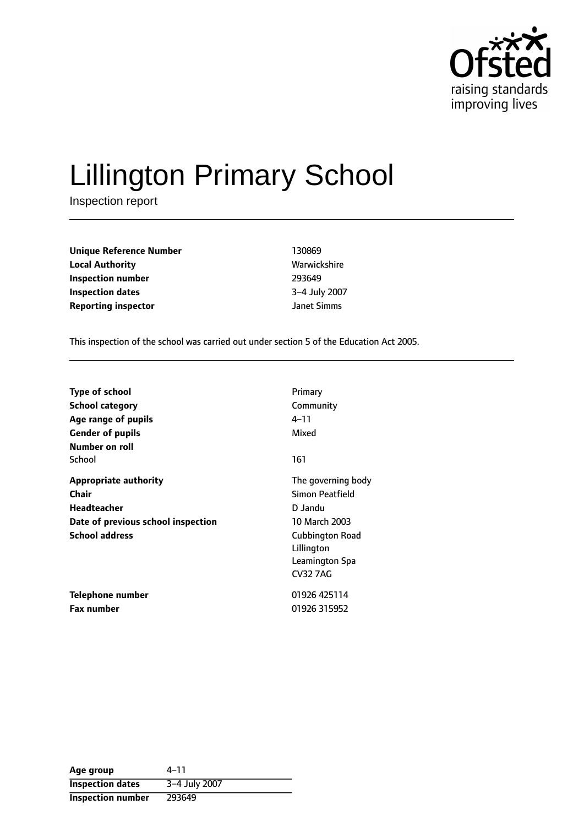

# Lillington Primary School

Inspection report

| <b>Unique Reference Number</b> | 130869       |
|--------------------------------|--------------|
| <b>Local Authority</b>         | Warwickshire |
| Inspection number              | 293649       |
| Inspection dates               | 3-4 July 200 |
| <b>Reporting inspector</b>     | Janet Simms  |

**Local Authority** Warwickshire **Inspection number** 293649 **Inspection dates** 34 July 2007

This inspection of the school was carried out under section 5 of the Education Act 2005.

| <b>Type of school</b>              | Primary                |
|------------------------------------|------------------------|
| School category                    | Community              |
| Age range of pupils                | 4–11                   |
| <b>Gender of pupils</b>            | Mixed                  |
| Number on roll                     |                        |
| School                             | 161                    |
| <b>Appropriate authority</b>       | The governing body     |
| Chair                              | Simon Peatfield        |
| <b>Headteacher</b>                 | D Jandu                |
| Date of previous school inspection | 10 March 2003          |
| <b>School address</b>              | <b>Cubbington Road</b> |
|                                    | Lillington             |
|                                    | Leamington Spa         |
|                                    | <b>CV32 7AG</b>        |
| Telephone number                   | 01926 425114           |
| <b>Fax number</b>                  | 01926 315952           |

| Age group                | $4 - 11$      |
|--------------------------|---------------|
| <b>Inspection dates</b>  | 3-4 July 2007 |
| <b>Inspection number</b> | 293649        |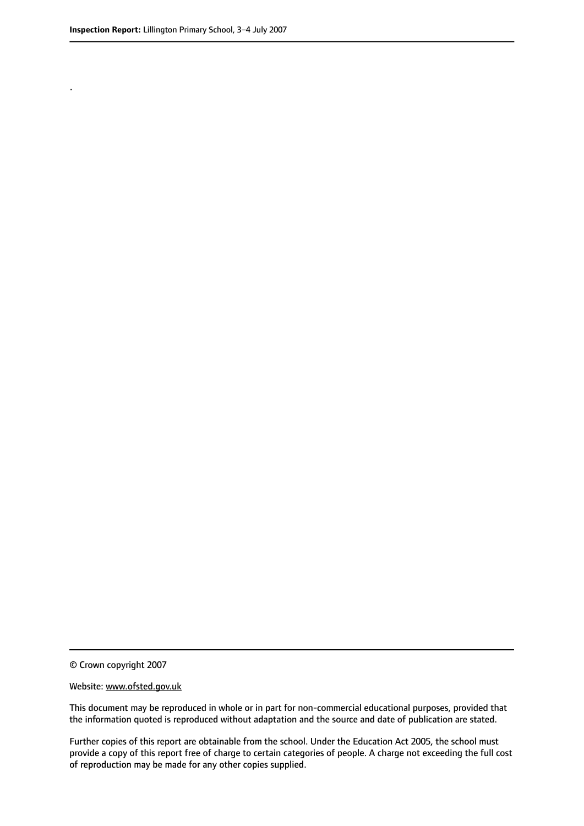.

© Crown copyright 2007

#### Website: www.ofsted.gov.uk

This document may be reproduced in whole or in part for non-commercial educational purposes, provided that the information quoted is reproduced without adaptation and the source and date of publication are stated.

Further copies of this report are obtainable from the school. Under the Education Act 2005, the school must provide a copy of this report free of charge to certain categories of people. A charge not exceeding the full cost of reproduction may be made for any other copies supplied.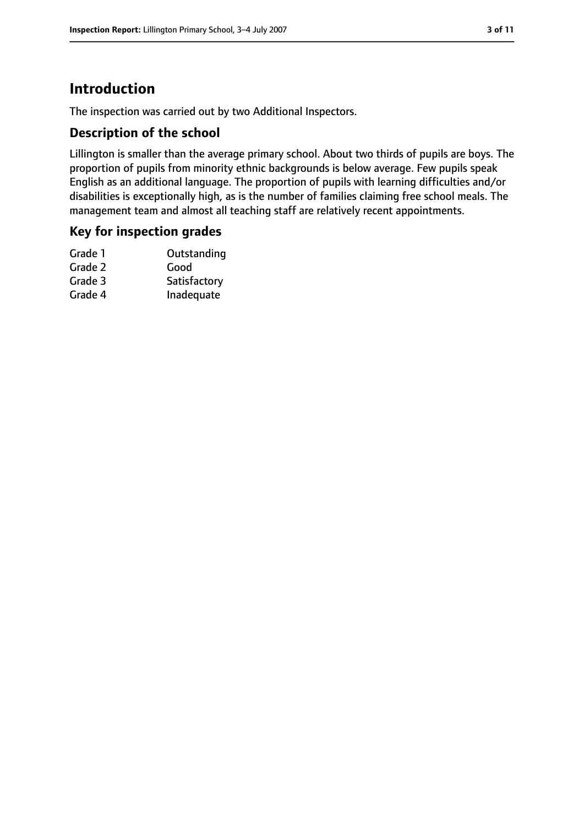# **Introduction**

The inspection was carried out by two Additional Inspectors.

## **Description of the school**

Lillington is smaller than the average primary school. About two thirds of pupils are boys. The proportion of pupils from minority ethnic backgrounds is below average. Few pupils speak English as an additional language. The proportion of pupils with learning difficulties and/or disabilities is exceptionally high, as is the number of families claiming free school meals. The management team and almost all teaching staff are relatively recent appointments.

#### **Key for inspection grades**

| Outstanding  |
|--------------|
| Good         |
| Satisfactory |
| Inadequate   |
|              |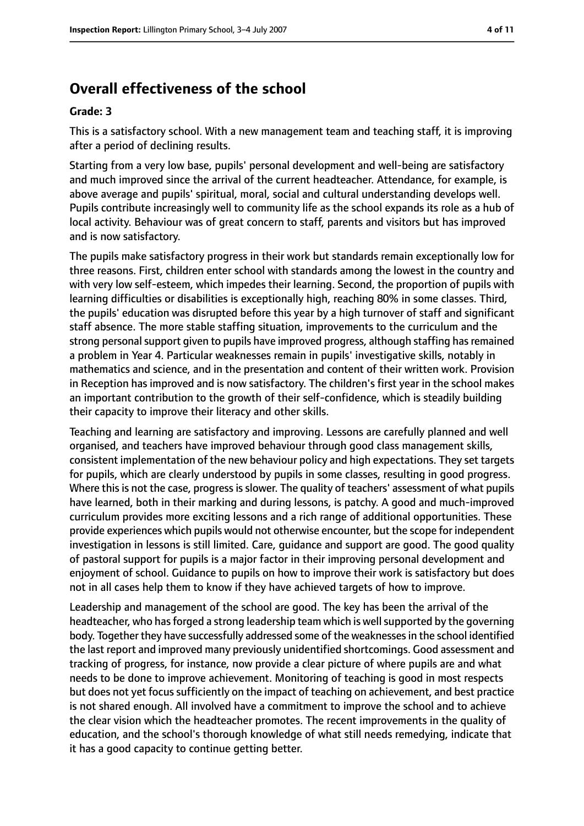# **Overall effectiveness of the school**

#### **Grade: 3**

This is a satisfactory school. With a new management team and teaching staff, it is improving after a period of declining results.

Starting from a very low base, pupils' personal development and well-being are satisfactory and much improved since the arrival of the current headteacher. Attendance, for example, is above average and pupils' spiritual, moral, social and cultural understanding develops well. Pupils contribute increasingly well to community life as the school expands its role as a hub of local activity. Behaviour was of great concern to staff, parents and visitors but has improved and is now satisfactory.

The pupils make satisfactory progress in their work but standards remain exceptionally low for three reasons. First, children enter school with standards among the lowest in the country and with very low self-esteem, which impedes their learning. Second, the proportion of pupils with learning difficulties or disabilities is exceptionally high, reaching 80% in some classes. Third, the pupils' education was disrupted before this year by a high turnover of staff and significant staff absence. The more stable staffing situation, improvements to the curriculum and the strong personal support given to pupils have improved progress, although staffing has remained a problem in Year 4. Particular weaknesses remain in pupils' investigative skills, notably in mathematics and science, and in the presentation and content of their written work. Provision in Reception has improved and is now satisfactory. The children's first year in the school makes an important contribution to the growth of their self-confidence, which is steadily building their capacity to improve their literacy and other skills.

Teaching and learning are satisfactory and improving. Lessons are carefully planned and well organised, and teachers have improved behaviour through good class management skills, consistent implementation of the new behaviour policy and high expectations. They set targets for pupils, which are clearly understood by pupils in some classes, resulting in good progress. Where this is not the case, progress is slower. The quality of teachers' assessment of what pupils have learned, both in their marking and during lessons, is patchy. A good and much-improved curriculum provides more exciting lessons and a rich range of additional opportunities. These provide experiences which pupils would not otherwise encounter, but the scope for independent investigation in lessons is still limited. Care, guidance and support are good. The good quality of pastoral support for pupils is a major factor in their improving personal development and enjoyment of school. Guidance to pupils on how to improve their work is satisfactory but does not in all cases help them to know if they have achieved targets of how to improve.

Leadership and management of the school are good. The key has been the arrival of the headteacher, who has forged a strong leadership team which is well supported by the governing body. Together they have successfully addressed some of the weaknessesin the school identified the last report and improved many previously unidentified shortcomings. Good assessment and tracking of progress, for instance, now provide a clear picture of where pupils are and what needs to be done to improve achievement. Monitoring of teaching is good in most respects but does not yet focus sufficiently on the impact of teaching on achievement, and best practice is not shared enough. All involved have a commitment to improve the school and to achieve the clear vision which the headteacher promotes. The recent improvements in the quality of education, and the school's thorough knowledge of what still needs remedying, indicate that it has a good capacity to continue getting better.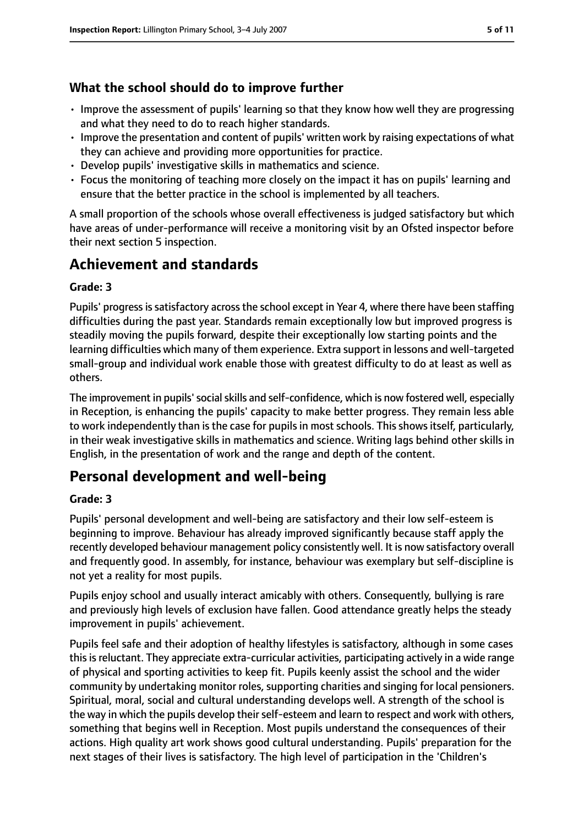## **What the school should do to improve further**

- Improve the assessment of pupils' learning so that they know how well they are progressing and what they need to do to reach higher standards.
- Improve the presentation and content of pupils' written work by raising expectations of what they can achieve and providing more opportunities for practice.
- Develop pupils' investigative skills in mathematics and science.
- Focus the monitoring of teaching more closely on the impact it has on pupils' learning and ensure that the better practice in the school is implemented by all teachers.

A small proportion of the schools whose overall effectiveness is judged satisfactory but which have areas of under-performance will receive a monitoring visit by an Ofsted inspector before their next section 5 inspection.

# **Achievement and standards**

#### **Grade: 3**

Pupils' progressissatisfactory acrossthe school except in Year 4, where there have been staffing difficulties during the past year. Standards remain exceptionally low but improved progress is steadily moving the pupils forward, despite their exceptionally low starting points and the learning difficulties which many of them experience. Extra support in lessons and well-targeted small-group and individual work enable those with greatest difficulty to do at least as well as others.

The improvement in pupils'socialskills and self-confidence, which is now fostered well, especially in Reception, is enhancing the pupils' capacity to make better progress. They remain less able to work independently than is the case for pupils in most schools. This shows itself, particularly, in their weak investigative skills in mathematics and science. Writing lags behind other skills in English, in the presentation of work and the range and depth of the content.

## **Personal development and well-being**

#### **Grade: 3**

Pupils' personal development and well-being are satisfactory and their low self-esteem is beginning to improve. Behaviour has already improved significantly because staff apply the recently developed behaviour management policy consistently well. It is now satisfactory overall and frequently good. In assembly, for instance, behaviour was exemplary but self-discipline is not yet a reality for most pupils.

Pupils enjoy school and usually interact amicably with others. Consequently, bullying is rare and previously high levels of exclusion have fallen. Good attendance greatly helps the steady improvement in pupils' achievement.

Pupils feel safe and their adoption of healthy lifestyles is satisfactory, although in some cases thisisreluctant. They appreciate extra-curricular activities, participating actively in a wide range of physical and sporting activities to keep fit. Pupils keenly assist the school and the wider community by undertaking monitor roles, supporting charities and singing for local pensioners. Spiritual, moral, social and cultural understanding develops well. A strength of the school is the way in which the pupils develop their self-esteem and learn to respect and work with others, something that begins well in Reception. Most pupils understand the consequences of their actions. High quality art work shows good cultural understanding. Pupils' preparation for the next stages of their lives is satisfactory. The high level of participation in the 'Children's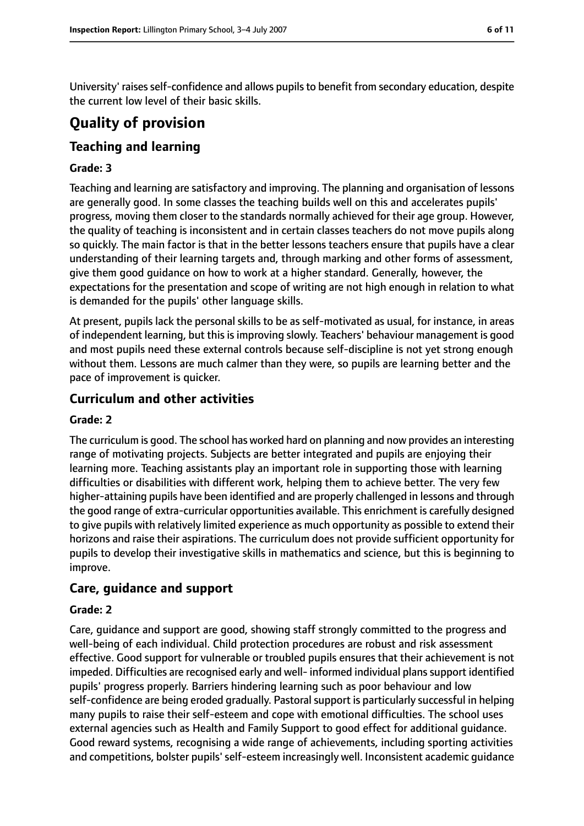University' raises self-confidence and allows pupils to benefit from secondary education, despite the current low level of their basic skills.

# **Quality of provision**

## **Teaching and learning**

#### **Grade: 3**

Teaching and learning are satisfactory and improving. The planning and organisation of lessons are generally good. In some classes the teaching builds well on this and accelerates pupils' progress, moving them closer to the standards normally achieved for their age group. However, the quality of teaching is inconsistent and in certain classes teachers do not move pupils along so quickly. The main factor is that in the better lessons teachers ensure that pupils have a clear understanding of their learning targets and, through marking and other forms of assessment, give them good guidance on how to work at a higher standard. Generally, however, the expectations for the presentation and scope of writing are not high enough in relation to what is demanded for the pupils' other language skills.

At present, pupils lack the personal skills to be as self-motivated as usual, for instance, in areas of independent learning, but this is improving slowly. Teachers' behaviour management is good and most pupils need these external controls because self-discipline is not yet strong enough without them. Lessons are much calmer than they were, so pupils are learning better and the pace of improvement is quicker.

#### **Curriculum and other activities**

#### **Grade: 2**

The curriculum is good. The school has worked hard on planning and now provides an interesting range of motivating projects. Subjects are better integrated and pupils are enjoying their learning more. Teaching assistants play an important role in supporting those with learning difficulties or disabilities with different work, helping them to achieve better. The very few higher-attaining pupils have been identified and are properly challenged in lessons and through the good range of extra-curricular opportunities available. This enrichment is carefully designed to give pupils with relatively limited experience as much opportunity as possible to extend their horizons and raise their aspirations. The curriculum does not provide sufficient opportunity for pupils to develop their investigative skills in mathematics and science, but this is beginning to improve.

#### **Care, guidance and support**

#### **Grade: 2**

Care, guidance and support are good, showing staff strongly committed to the progress and well-being of each individual. Child protection procedures are robust and risk assessment effective. Good support for vulnerable or troubled pupils ensures that their achievement is not impeded. Difficulties are recognised early and well- informed individual plans support identified pupils' progress properly. Barriers hindering learning such as poor behaviour and low self-confidence are being eroded gradually. Pastoral support is particularly successful in helping many pupils to raise their self-esteem and cope with emotional difficulties. The school uses external agencies such as Health and Family Support to good effect for additional guidance. Good reward systems, recognising a wide range of achievements, including sporting activities and competitions, bolster pupils' self-esteem increasingly well. Inconsistent academic quidance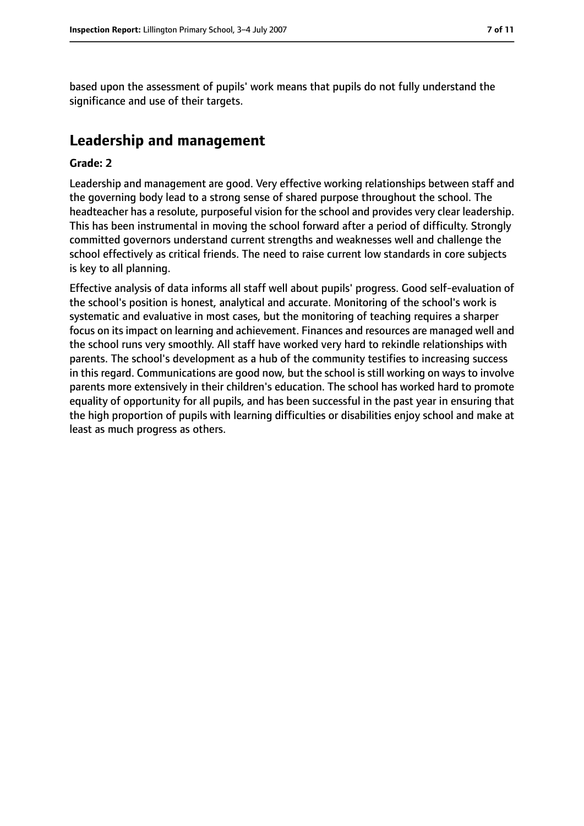based upon the assessment of pupils' work means that pupils do not fully understand the significance and use of their targets.

## **Leadership and management**

#### **Grade: 2**

Leadership and management are good. Very effective working relationships between staff and the governing body lead to a strong sense of shared purpose throughout the school. The headteacher has a resolute, purposeful vision for the school and provides very clear leadership. This has been instrumental in moving the school forward after a period of difficulty. Strongly committed governors understand current strengths and weaknesses well and challenge the school effectively as critical friends. The need to raise current low standards in core subjects is key to all planning.

Effective analysis of data informs all staff well about pupils' progress. Good self-evaluation of the school's position is honest, analytical and accurate. Monitoring of the school's work is systematic and evaluative in most cases, but the monitoring of teaching requires a sharper focus on its impact on learning and achievement. Finances and resources are managed well and the school runs very smoothly. All staff have worked very hard to rekindle relationships with parents. The school's development as a hub of the community testifies to increasing success in this regard. Communications are good now, but the school is still working on ways to involve parents more extensively in their children's education. The school has worked hard to promote equality of opportunity for all pupils, and has been successful in the past year in ensuring that the high proportion of pupils with learning difficulties or disabilities enjoy school and make at least as much progress as others.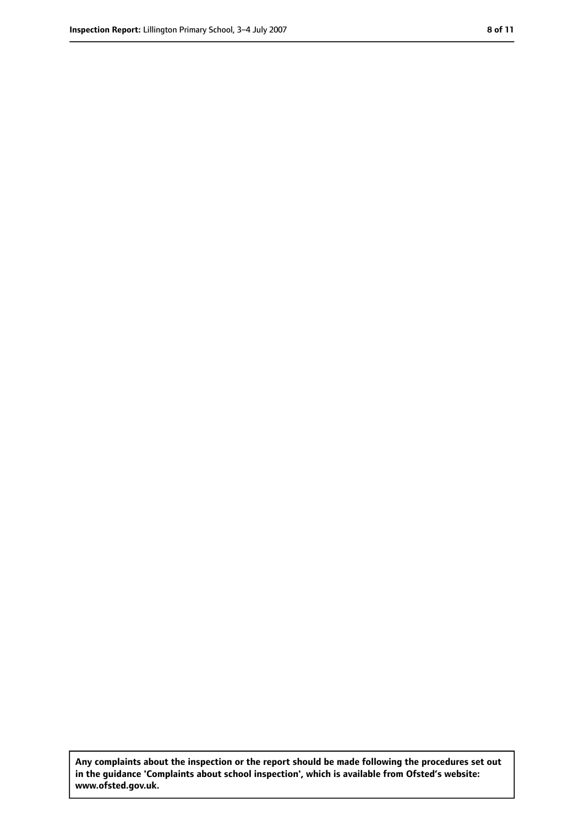**Any complaints about the inspection or the report should be made following the procedures set out in the guidance 'Complaints about school inspection', which is available from Ofsted's website: www.ofsted.gov.uk.**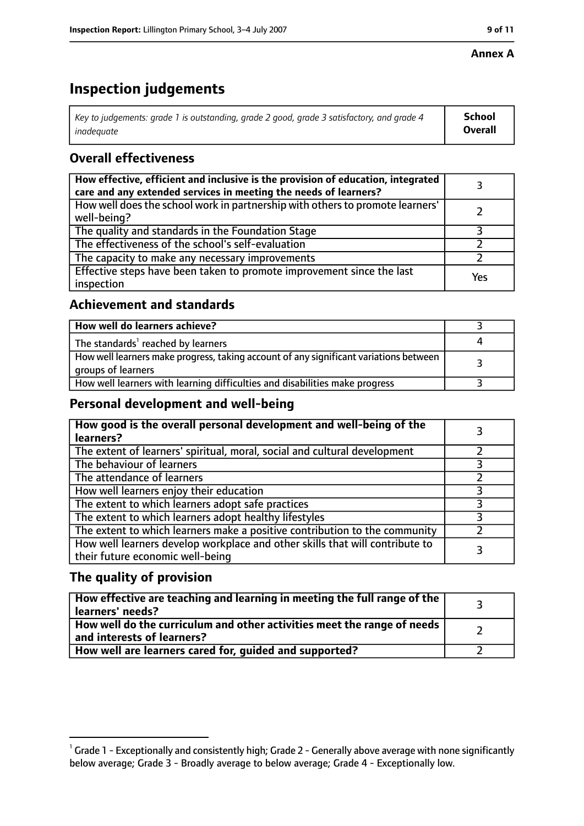#### **Annex A**

# **Inspection judgements**

| Key to judgements: grade 1 is outstanding, grade 2 good, grade 3 satisfactory, and grade 4 | <b>School</b>  |
|--------------------------------------------------------------------------------------------|----------------|
| inadeauate                                                                                 | <b>Overall</b> |

## **Overall effectiveness**

| How effective, efficient and inclusive is the provision of education, integrated<br>care and any extended services in meeting the needs of learners? |     |
|------------------------------------------------------------------------------------------------------------------------------------------------------|-----|
| How well does the school work in partnership with others to promote learners'<br>well-being?                                                         |     |
| The quality and standards in the Foundation Stage                                                                                                    |     |
| The effectiveness of the school's self-evaluation                                                                                                    |     |
| The capacity to make any necessary improvements                                                                                                      |     |
| Effective steps have been taken to promote improvement since the last<br>inspection                                                                  | Yes |

## **Achievement and standards**

| How well do learners achieve?                                                                               |  |
|-------------------------------------------------------------------------------------------------------------|--|
| The standards <sup>1</sup> reached by learners                                                              |  |
| How well learners make progress, taking account of any significant variations between<br>groups of learners |  |
| How well learners with learning difficulties and disabilities make progress                                 |  |

## **Personal development and well-being**

| How good is the overall personal development and well-being of the<br>learners?                                  |  |
|------------------------------------------------------------------------------------------------------------------|--|
| The extent of learners' spiritual, moral, social and cultural development                                        |  |
| The behaviour of learners                                                                                        |  |
| The attendance of learners                                                                                       |  |
| How well learners enjoy their education                                                                          |  |
| The extent to which learners adopt safe practices                                                                |  |
| The extent to which learners adopt healthy lifestyles                                                            |  |
| The extent to which learners make a positive contribution to the community                                       |  |
| How well learners develop workplace and other skills that will contribute to<br>their future economic well-being |  |

## **The quality of provision**

| How effective are teaching and learning in meeting the full range of the<br>learners' needs?          |  |
|-------------------------------------------------------------------------------------------------------|--|
| How well do the curriculum and other activities meet the range of needs<br>and interests of learners? |  |
| How well are learners cared for, quided and supported?                                                |  |

 $^1$  Grade 1 - Exceptionally and consistently high; Grade 2 - Generally above average with none significantly below average; Grade 3 - Broadly average to below average; Grade 4 - Exceptionally low.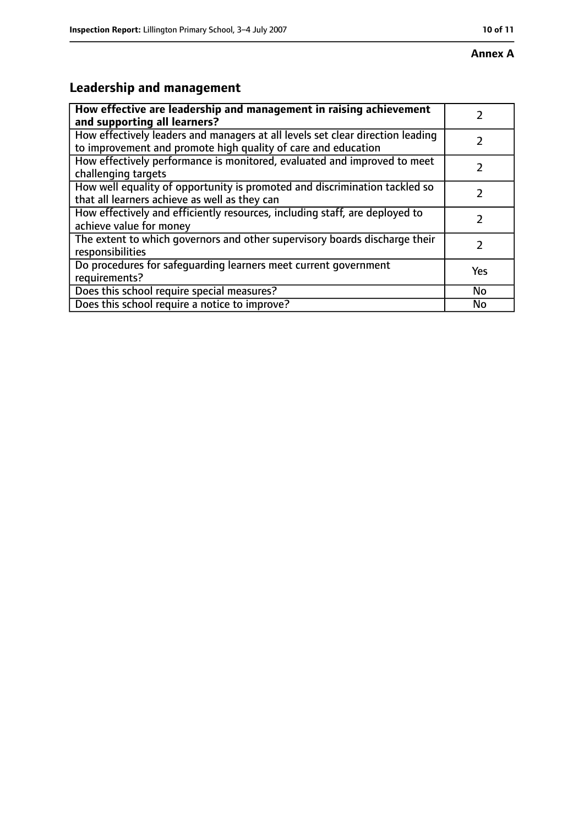# **Leadership and management**

| How effective are leadership and management in raising achievement<br>and supporting all learners?                                              |     |
|-------------------------------------------------------------------------------------------------------------------------------------------------|-----|
| How effectively leaders and managers at all levels set clear direction leading<br>to improvement and promote high quality of care and education |     |
| How effectively performance is monitored, evaluated and improved to meet<br>challenging targets                                                 |     |
| How well equality of opportunity is promoted and discrimination tackled so<br>that all learners achieve as well as they can                     |     |
| How effectively and efficiently resources, including staff, are deployed to<br>achieve value for money                                          | 2   |
| The extent to which governors and other supervisory boards discharge their<br>responsibilities                                                  | 7   |
| Do procedures for safequarding learners meet current government<br>requirements?                                                                | Yes |
| Does this school require special measures?                                                                                                      | No  |
| Does this school require a notice to improve?                                                                                                   | No  |